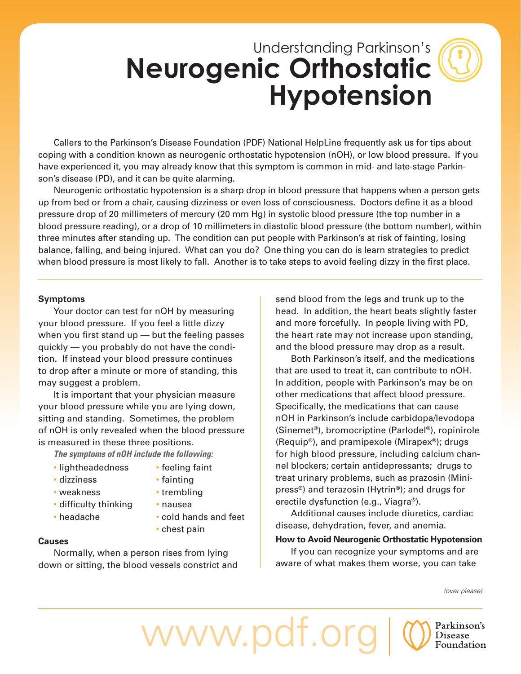# Understanding Parkinson's **Neurogenic Orthostatic Hypotension**

Callers to the Parkinson's Disease Foundation (PDF) National HelpLine frequently ask us for tips about coping with a condition known as neurogenic orthostatic hypotension (nOH), or low blood pressure. If you have experienced it, you may already know that this symptom is common in mid- and late-stage Parkinson's disease (PD), and it can be quite alarming.

Neurogenic orthostatic hypotension is a sharp drop in blood pressure that happens when a person gets up from bed or from a chair, causing dizziness or even loss of consciousness. Doctors define it as a blood pressure drop of 20 millimeters of mercury (20 mm Hg) in systolic blood pressure (the top number in a blood pressure reading), or a drop of 10 millimeters in diastolic blood pressure (the bottom number), within three minutes after standing up. The condition can put people with Parkinson's at risk of fainting, losing balance, falling, and being injured. What can you do? One thing you can do is learn strategies to predict when blood pressure is most likely to fall. Another is to take steps to avoid feeling dizzy in the first place.

#### **Symptoms**

Your doctor can test for nOH by measuring your blood pressure. If you feel a little dizzy when you first stand up  $-$  but the feeling passes quickly — you probably do not have the condition. If instead your blood pressure continues to drop after a minute or more of standing, this may suggest a problem.

It is important that your physician measure your blood pressure while you are lying down, sitting and standing. Sometimes, the problem of nOH is only revealed when the blood pressure is measured in these three positions.

*The symptoms of nOH include the following:*

- lightheadedness
- feeling faint • fainting
- dizziness • weakness

• headache

- 
- 
- trembling • nausea
- difficulty thinking
- cold hands and feet

www.pdf.org

• chest pain

#### **Causes**

Normally, when a person rises from lying down or sitting, the blood vessels constrict and send blood from the legs and trunk up to the head. In addition, the heart beats slightly faster and more forcefully. In people living with PD, the heart rate may not increase upon standing, and the blood pressure may drop as a result.

Both Parkinson's itself, and the medications that are used to treat it, can contribute to nOH. In addition, people with Parkinson's may be on other medications that affect blood pressure. Specifically, the medications that can cause nOH in Parkinson's include carbidopa/levodopa (Sinemet®), bromocriptine (Parlodel®), ropinirole (Requip®), and pramipexole (Mirapex®); drugs for high blood pressure, including calcium channel blockers; certain antidepressants; drugs to treat urinary problems, such as prazosin (Minipress®) and terazosin (Hytrin®); and drugs for erectile dysfunction (e.g., Viagra®).

Additional causes include diuretics, cardiac disease, dehydration, fever, and anemia.

#### **How to Avoid Neurogenic Orthostatic Hypotension**

If you can recognize your symptoms and are aware of what makes them worse, you can take

*(over please)*

Parkinson's Disease Foundation